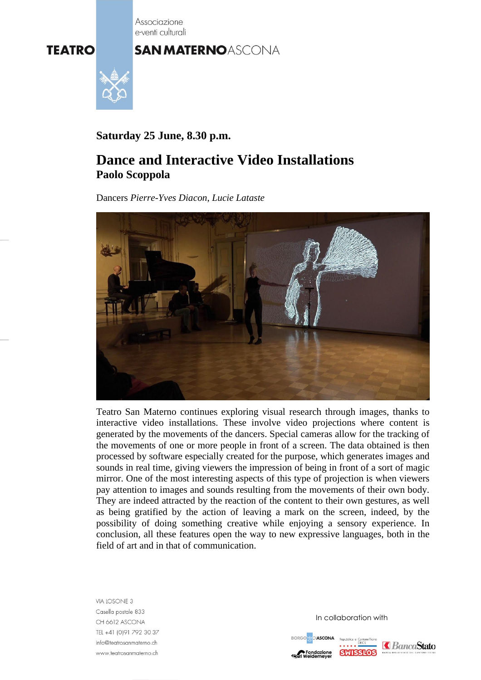Associazione e-venti culturali

## **SAN MATERNOASCONA**



**Saturday 25 June, 8.30 p.m.**

# **Dance and Interactive Video Installations Paolo Scoppola**

Dancers *Pierre-Yves Diacon*, *Lucie Lataste*



Teatro San Materno continues exploring visual research through images, thanks to interactive video installations. These involve video projections where content is generated by the movements of the dancers. Special cameras allow for the tracking of the movements of one or more people in front of a screen. The data obtained is then processed by software especially created for the purpose, which generates images and sounds in real time, giving viewers the impression of being in front of a sort of magic mirror. One of the most interesting aspects of this type of projection is when viewers pay attention to images and sounds resulting from the movements of their own body. They are indeed attracted by the reaction of the content to their own gestures, as well as being gratified by the action of leaving a mark on the screen, indeed, by the possibility of doing something creative while enjoying a sensory experience. In conclusion, all these features open the way to new expressive languages, both in the field of art and in that of communication.

VIA LOSONE 3<br>Casella postale 833 CH 6612 ASCONA TEL +41 (0)91 792 30 37 info@teatrosanmaterno.ch www.teatrosanmaterno.ch

In collaboration with

**MOIASCONA** ndazione **SWISSLO**